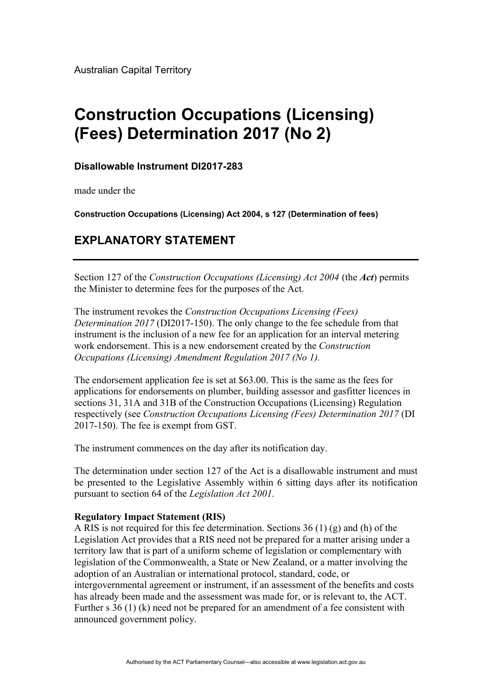Australian Capital Territory

# **Construction Occupations (Licensing) (Fees) Determination 2017 (No 2)**

## **Disallowable Instrument DI2017-283**

made under the

**Construction Occupations (Licensing) Act 2004, s 127 (Determination of fees)**

## **EXPLANATORY STATEMENT**

Section 127 of the *Construction Occupations (Licensing) Act 2004* (the *Act*) permits the Minister to determine fees for the purposes of the Act.

The instrument revokes the *Construction Occupations Licensing (Fees) Determination 2017* (DI2017-150). The only change to the fee schedule from that instrument is the inclusion of a new fee for an application for an interval metering work endorsement. This is a new endorsement created by the *Construction Occupations (Licensing) Amendment Regulation 2017 (No 1).* 

The endorsement application fee is set at \$63.00. This is the same as the fees for applications for endorsements on plumber, building assessor and gasfitter licences in sections 31, 31A and 31B of the Construction Occupations (Licensing) Regulation respectively (see *Construction Occupations Licensing (Fees) Determination 2017* (DI 2017-150). The fee is exempt from GST.

The instrument commences on the day after its notification day.

The determination under section 127 of the Act is a disallowable instrument and must be presented to the Legislative Assembly within 6 sitting days after its notification pursuant to section 64 of the *Legislation Act 2001*.

### **Regulatory Impact Statement (RIS)**

A RIS is not required for this fee determination. Sections 36 (1) (g) and (h) of the Legislation Act provides that a RIS need not be prepared for a matter arising under a territory law that is part of a uniform scheme of legislation or complementary with legislation of the Commonwealth, a State or New Zealand, or a matter involving the adoption of an Australian or international protocol, standard, code, or intergovernmental agreement or instrument, if an assessment of the benefits and costs has already been made and the assessment was made for, or is relevant to, the ACT. Further s 36 (1) (k) need not be prepared for an amendment of a fee consistent with announced government policy.